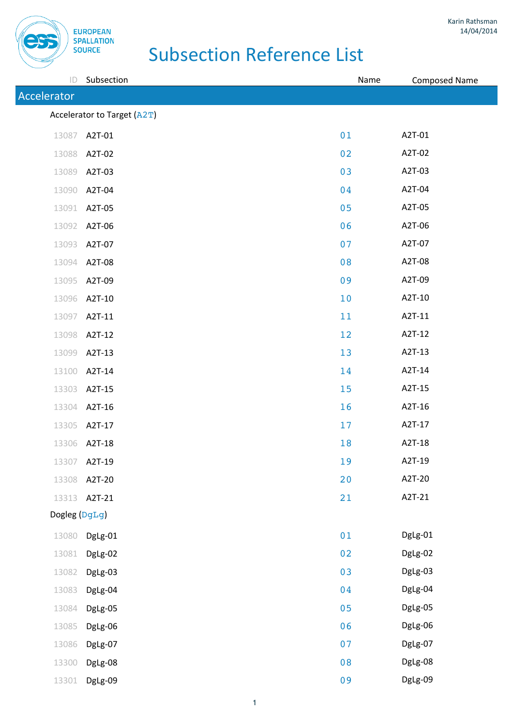**EUROPEAN SPALLATION SOURCE** 

| $\mathsf{ID}$ | Subsection                  | Name | <b>Composed Name</b> |
|---------------|-----------------------------|------|----------------------|
| Accelerator   |                             |      |                      |
|               | Accelerator to Target (A2T) |      |                      |
| 13087         | A2T-01                      | 01   | A2T-01               |
|               | 13088 A2T-02                | 02   | A2T-02               |
| 13089         | A2T-03                      | 03   | A2T-03               |
| 13090         | A2T-04                      | 04   | A2T-04               |
| 13091         | A2T-05                      | 05   | A2T-05               |
|               | 13092 A2T-06                | 06   | A2T-06               |
| 13093         | A2T-07                      | 07   | A2T-07               |
| 13094         | A2T-08                      | 08   | A2T-08               |
| 13095         | A2T-09                      | 09   | A2T-09               |
|               | 13096 A2T-10                | 10   | A2T-10               |
| 13097         | A2T-11                      | 11   | A2T-11               |
| 13098         | A2T-12                      | 12   | A2T-12               |
| 13099         | A2T-13                      | 13   | A2T-13               |
|               | 13100 A2T-14                | 14   | A2T-14               |
| 13303         | A2T-15                      | 15   | A2T-15               |
|               | 13304 A2T-16                | 16   | A2T-16               |
| 13305         | A2T-17                      | 17   | A2T-17               |
|               | 13306 A2T-18                | 18   | A2T-18               |
|               | 13307 A2T-19                | 19   | A2T-19               |
|               | 13308 A2T-20                | 20   | A2T-20               |
|               | 13313 A2T-21                | 21   | A2T-21               |
| Dogleg (DgLg) |                             |      |                      |
| 13080         | DgLg-01                     | 01   | DgLg-01              |
| 13081         | DgLg-02                     | 02   | DgLg-02              |
| 13082         | DgLg-03                     | 03   | DgLg-03              |
| 13083         | DgLg-04                     | 04   | DgLg-04              |
| 13084         | DgLg-05                     | 05   | DgLg-05              |
| 13085         | DgLg-06                     | 06   | DgLg-06              |
| 13086         | DgLg-07                     | 07   | DgLg-07              |
| 13300         | DgLg-08                     | 08   | DgLg-08              |
| 13301         | DgLg-09                     | 09   | DgLg-09              |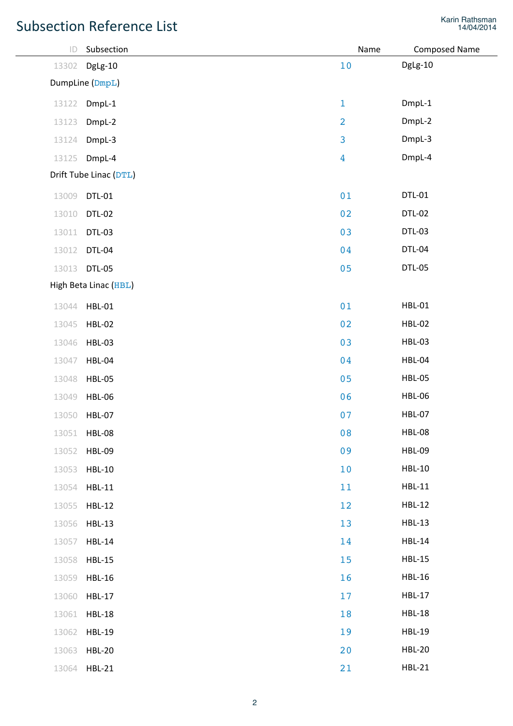| $\mathsf{ID}$   | Subsection             | Name           | <b>Composed Name</b> |  |
|-----------------|------------------------|----------------|----------------------|--|
| 13302           | DgLg-10                | $10$           | DgLg-10              |  |
| DumpLine (DmpL) |                        |                |                      |  |
| 13122           | DmpL-1                 | $1\,$          | DmpL-1               |  |
| 13123           | DmpL-2                 | $\overline{2}$ | DmpL-2               |  |
| 13124           | DmpL-3                 | 3              | DmpL-3               |  |
| 13125           | DmpL-4                 | $\overline{4}$ | DmpL-4               |  |
|                 | Drift Tube Linac (DTL) |                |                      |  |
| 13009           | <b>DTL-01</b>          | 01             | DTL-01               |  |
| 13010           | <b>DTL-02</b>          | 02             | <b>DTL-02</b>        |  |
| 13011           | <b>DTL-03</b>          | 03             | DTL-03               |  |
| 13012           | <b>DTL-04</b>          | 04             | DTL-04               |  |
| 13013           | <b>DTL-05</b>          | 05             | <b>DTL-05</b>        |  |
|                 | High Beta Linac (HBL)  |                |                      |  |
| 13044           | <b>HBL-01</b>          | 01             | <b>HBL-01</b>        |  |
| 13045           | <b>HBL-02</b>          | 02             | <b>HBL-02</b>        |  |
| 13046           | <b>HBL-03</b>          | 03             | <b>HBL-03</b>        |  |
| 13047           | <b>HBL-04</b>          | 04             | <b>HBL-04</b>        |  |
| 13048           | <b>HBL-05</b>          | 05             | <b>HBL-05</b>        |  |
| 13049           | <b>HBL-06</b>          | 06             | <b>HBL-06</b>        |  |
| 13050           | <b>HBL-07</b>          | 07             | <b>HBL-07</b>        |  |
| 13051           | <b>HBL-08</b>          | 08             | <b>HBL-08</b>        |  |
| 13052           | <b>HBL-09</b>          | 09             | <b>HBL-09</b>        |  |
| 13053           | <b>HBL-10</b>          | 10             | <b>HBL-10</b>        |  |
| 13054           | <b>HBL-11</b>          | 11             | <b>HBL-11</b>        |  |
| 13055           | <b>HBL-12</b>          | 12             | <b>HBL-12</b>        |  |
| 13056           | <b>HBL-13</b>          | 13             | <b>HBL-13</b>        |  |
| 13057           | <b>HBL-14</b>          | 14             | <b>HBL-14</b>        |  |
| 13058           | <b>HBL-15</b>          | 15             | <b>HBL-15</b>        |  |
| 13059           | <b>HBL-16</b>          | 16             | <b>HBL-16</b>        |  |
| 13060           | <b>HBL-17</b>          | 17             | <b>HBL-17</b>        |  |
| 13061           | <b>HBL-18</b>          | 18             | <b>HBL-18</b>        |  |
| 13062           | <b>HBL-19</b>          | 19             | <b>HBL-19</b>        |  |
| 13063           | <b>HBL-20</b>          | 20             | <b>HBL-20</b>        |  |
| 13064           | <b>HBL-21</b>          | 21             | <b>HBL-21</b>        |  |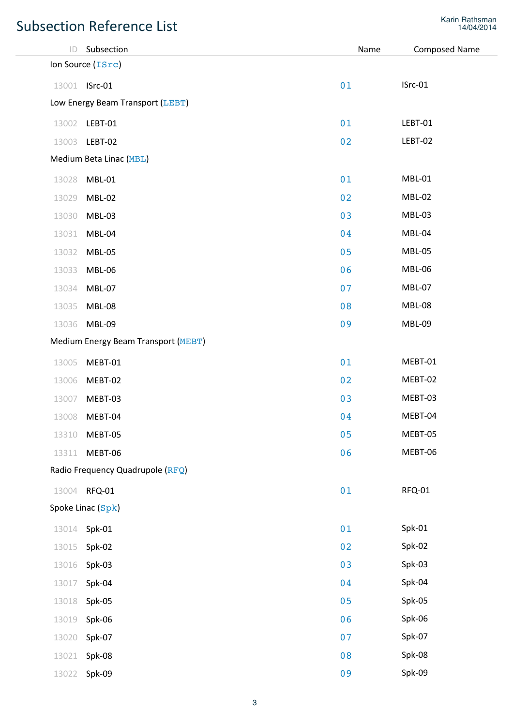| ID    | Subsection                                 | Name | <b>Composed Name</b> |
|-------|--------------------------------------------|------|----------------------|
|       | Ion Source (ISrc)                          |      |                      |
|       | 13001 <b>ISrc-01</b>                       | 01   | ISrc-01              |
|       | Low Energy Beam Transport (LEBT)           |      |                      |
|       | 13002 LEBT-01                              | 01   | LEBT-01              |
|       | 13003 LEBT-02                              | 02   | LEBT-02              |
|       | Medium Beta Linac (MBL)                    |      |                      |
| 13028 | <b>MBL-01</b>                              | 01   | <b>MBL-01</b>        |
| 13029 | MBL-02                                     | 02   | <b>MBL-02</b>        |
| 13030 | MBL-03                                     | 03   | <b>MBL-03</b>        |
| 13031 | MBL-04                                     | 04   | MBL-04               |
| 13032 | MBL-05                                     | 05   | <b>MBL-05</b>        |
| 13033 | MBL-06                                     | 06   | <b>MBL-06</b>        |
| 13034 | MBL-07                                     | 07   | <b>MBL-07</b>        |
| 13035 | <b>MBL-08</b>                              | 08   | <b>MBL-08</b>        |
| 13036 | MBL-09                                     | 09   | <b>MBL-09</b>        |
|       | <b>Medium Energy Beam Transport (MEBT)</b> |      |                      |
| 13005 | MEBT-01                                    | 01   | MEBT-01              |
| 13006 | MEBT-02                                    | 02   | MEBT-02              |
| 13007 | MEBT-03                                    | 03   | MEBT-03              |
| 13008 | MEBT-04                                    | 04   | MEBT-04              |
| 13310 | MEBT-05                                    | 05   | MEBT-05              |
| 13311 | MEBT-06                                    | 06   | MEBT-06              |
|       | Radio Frequency Quadrupole (RFQ)           |      |                      |
| 13004 | RFQ-01                                     | 01   | RFQ-01               |
|       | Spoke Linac (Spk)                          |      |                      |
| 13014 | Spk-01                                     | 01   | Spk-01               |
| 13015 | Spk-02                                     | 02   | Spk-02               |
| 13016 | Spk-03                                     | 03   | Spk-03               |
| 13017 | Spk-04                                     | 04   | Spk-04               |
| 13018 | Spk-05                                     | 05   | Spk-05               |
| 13019 | Spk-06                                     | 06   | Spk-06               |
| 13020 | Spk-07                                     | 07   | Spk-07               |
| 13021 | Spk-08                                     | 08   | Spk-08               |
| 13022 | Spk-09                                     | 09   | Spk-09               |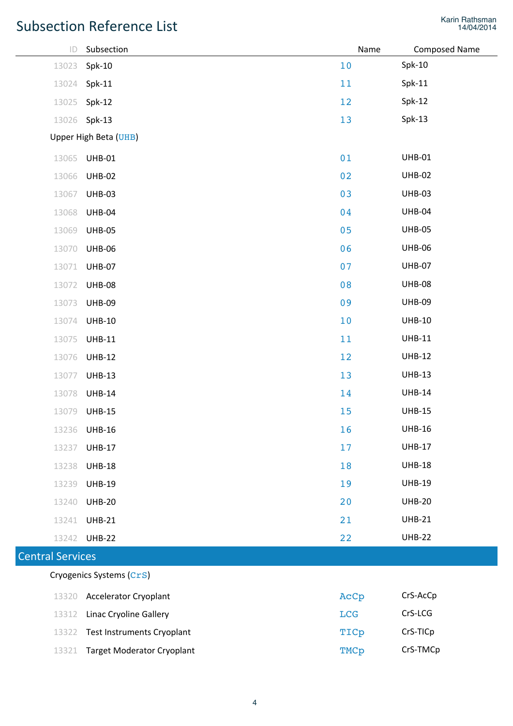| $\mathsf{ID}$            | Subsection                        | Name | <b>Composed Name</b> |  |
|--------------------------|-----------------------------------|------|----------------------|--|
| 13023                    | $Spk-10$                          | 10   | $Spk-10$             |  |
| 13024                    | $Spk-11$                          | 11   | $Spk-11$             |  |
| 13025                    | $Spk-12$                          | 12   | $Spk-12$             |  |
| 13026                    | $Spk-13$                          | 13   | $Spk-13$             |  |
|                          | Upper High Beta (UHB)             |      |                      |  |
| 13065                    | <b>UHB-01</b>                     | 01   | <b>UHB-01</b>        |  |
| 13066                    | <b>UHB-02</b>                     | 02   | <b>UHB-02</b>        |  |
| 13067                    | <b>UHB-03</b>                     | 03   | <b>UHB-03</b>        |  |
| 13068                    | <b>UHB-04</b>                     | 04   | <b>UHB-04</b>        |  |
| 13069                    | <b>UHB-05</b>                     | 05   | <b>UHB-05</b>        |  |
| 13070                    | <b>UHB-06</b>                     | 06   | <b>UHB-06</b>        |  |
| 13071                    | <b>UHB-07</b>                     | 07   | <b>UHB-07</b>        |  |
| 13072                    | <b>UHB-08</b>                     | 08   | <b>UHB-08</b>        |  |
| 13073                    | <b>UHB-09</b>                     | 09   | <b>UHB-09</b>        |  |
| 13074                    | <b>UHB-10</b>                     | 10   | <b>UHB-10</b>        |  |
| 13075                    | <b>UHB-11</b>                     | 11   | <b>UHB-11</b>        |  |
| 13076                    | <b>UHB-12</b>                     | 12   | <b>UHB-12</b>        |  |
| 13077                    | <b>UHB-13</b>                     | 13   | <b>UHB-13</b>        |  |
| 13078                    | <b>UHB-14</b>                     | 14   | <b>UHB-14</b>        |  |
| 13079                    | <b>UHB-15</b>                     | 15   | <b>UHB-15</b>        |  |
|                          | 13236 UHB-16                      | 16   | <b>UHB-16</b>        |  |
| 13237                    | <b>UHB-17</b>                     | 17   | <b>UHB-17</b>        |  |
| 13238                    | <b>UHB-18</b>                     | 18   | <b>UHB-18</b>        |  |
| 13239                    | <b>UHB-19</b>                     | 19   | <b>UHB-19</b>        |  |
| 13240                    | <b>UHB-20</b>                     | 20   | <b>UHB-20</b>        |  |
| 13241                    | <b>UHB-21</b>                     | 21   | <b>UHB-21</b>        |  |
| 13242                    | <b>UHB-22</b>                     | 22   | <b>UHB-22</b>        |  |
| <b>Central Services</b>  |                                   |      |                      |  |
| Cryogenics Systems (CrS) |                                   |      |                      |  |
| 13320                    | <b>Accelerator Cryoplant</b>      | AcCp | CrS-AcCp             |  |
| 13312                    | <b>Linac Cryoline Gallery</b>     | LCG  | CrS-LCG              |  |
| 13322                    | <b>Test Instruments Cryoplant</b> | TICp | CrS-TICp             |  |
| 13321                    | <b>Target Moderator Cryoplant</b> | TMCp | CrS-TMCp             |  |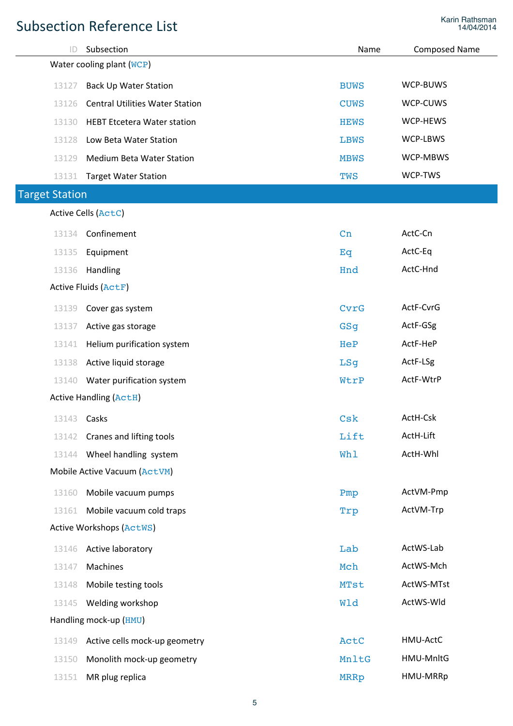| ID                        | Subsection                             | Name        | <b>Composed Name</b> |  |
|---------------------------|----------------------------------------|-------------|----------------------|--|
| Water cooling plant (WCP) |                                        |             |                      |  |
| 13127                     | <b>Back Up Water Station</b>           | <b>BUWS</b> | WCP-BUWS             |  |
| 13126                     | <b>Central Utilities Water Station</b> | <b>CUWS</b> | WCP-CUWS             |  |
| 13130                     | <b>HEBT Etcetera Water station</b>     | <b>HEWS</b> | WCP-HEWS             |  |
| 13128                     | Low Beta Water Station                 | <b>LBWS</b> | WCP-LBWS             |  |
| 13129                     | <b>Medium Beta Water Station</b>       | <b>MBWS</b> | WCP-MBWS             |  |
| 13131                     | <b>Target Water Station</b>            | TWS         | WCP-TWS              |  |
| <b>Target Station</b>     |                                        |             |                      |  |
|                           | <b>Active Cells (ActC)</b>             |             |                      |  |
| 13134                     | Confinement                            | Cn          | ActC-Cn              |  |
| 13135                     | Equipment                              | Eq          | ActC-Eq              |  |
| 13136                     | Handling                               | Hnd         | ActC-Hnd             |  |
|                           | <b>Active Fluids (ActF)</b>            |             |                      |  |
| 13139                     | Cover gas system                       | CvrG        | ActF-CvrG            |  |
| 13137                     | Active gas storage                     | GSq         | ActF-GSg             |  |
| 13141                     | Helium purification system             | HeP         | ActF-HeP             |  |
| 13138                     | Active liquid storage                  | LSq         | ActF-LSg             |  |
| 13140                     | Water purification system              | WtrP        | ActF-WtrP            |  |
|                           | <b>Active Handling (ActH)</b>          |             |                      |  |
| 13143 <b>Casks</b>        |                                        | Csk         | ActH-Csk             |  |
| 13142                     | Cranes and lifting tools               | Lift        | ActH-Lift            |  |
| 13144                     | Wheel handling system                  | Whl         | ActH-Whl             |  |
|                           | Mobile Active Vacuum (ActVM)           |             |                      |  |
| 13160                     | Mobile vacuum pumps                    | Pmp         | ActVM-Pmp            |  |
| 13161                     | Mobile vacuum cold traps               | Trp         | ActVM-Trp            |  |
|                           | <b>Active Workshops (ActWS)</b>        |             |                      |  |
| 13146                     | Active laboratory                      | Lab         | ActWS-Lab            |  |
| 13147                     | Machines                               | Mch         | ActWS-Mch            |  |
| 13148                     | Mobile testing tools                   | <b>MTst</b> | ActWS-MTst           |  |
| 13145                     | Welding workshop                       | Wld         | ActWS-Wld            |  |
| Handling mock-up (HMU)    |                                        |             |                      |  |
| 13149                     | Active cells mock-up geometry          | ActC        | HMU-ActC             |  |
| 13150                     | Monolith mock-up geometry              | MnltG       | HMU-MnltG            |  |
| 13151                     | MR plug replica                        | <b>MRRp</b> | HMU-MRRp             |  |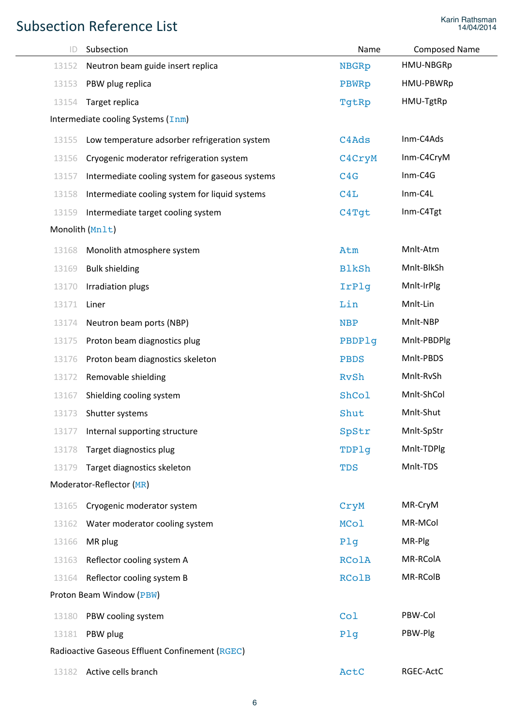| $\mathsf{ID}$ | Subsection                                      | Name         | <b>Composed Name</b> |  |  |
|---------------|-------------------------------------------------|--------------|----------------------|--|--|
| 13152         | Neutron beam guide insert replica               | <b>NBGRp</b> | HMU-NBGRp            |  |  |
| 13153         | PBW plug replica                                | <b>PBWRp</b> | HMU-PBWRp            |  |  |
| 13154         | Target replica                                  | TgtRp        | HMU-TgtRp            |  |  |
|               | Intermediate cooling Systems $(\text{Im}$ )     |              |                      |  |  |
| 13155         | Low temperature adsorber refrigeration system   | C4Ads        | Inm-C4Ads            |  |  |
| 13156         | Cryogenic moderator refrigeration system        | C4CryM       | Inm-C4CryM           |  |  |
| 13157         | Intermediate cooling system for gaseous systems | C4G          | $Inm-C4G$            |  |  |
| 13158         | Intermediate cooling system for liquid systems  | C4L          | Inm-C4L              |  |  |
| 13159         | Intermediate target cooling system              | C4Tqt        | Inm-C4Tgt            |  |  |
|               | Monolith (Mnlt)                                 |              |                      |  |  |
| 13168         | Monolith atmosphere system                      | Atm          | Mnlt-Atm             |  |  |
| 13169         | <b>Bulk shielding</b>                           | <b>BlkSh</b> | Mnlt-BlkSh           |  |  |
| 13170         | Irradiation plugs                               | IrPlq        | Mnlt-IrPlg           |  |  |
| 13171         | Liner                                           | Lin          | Mnlt-Lin             |  |  |
| 13174         | Neutron beam ports (NBP)                        | <b>NBP</b>   | Mnlt-NBP             |  |  |
| 13175         | Proton beam diagnostics plug                    | PBDPlq       | Mnlt-PBDPlg          |  |  |
| 13176         | Proton beam diagnostics skeleton                | <b>PBDS</b>  | Mnlt-PBDS            |  |  |
| 13172         | Removable shielding                             | <b>RvSh</b>  | Mnlt-RvSh            |  |  |
| 13167         | Shielding cooling system                        | ShCol        | Mnlt-ShCol           |  |  |
| 13173         | Shutter systems                                 | Shut         | Mnlt-Shut            |  |  |
| 13177         | Internal supporting structure                   | SpStr        | Mnlt-SpStr           |  |  |
| 13178         | Target diagnostics plug                         | TDPlq        | Mnlt-TDPlg           |  |  |
| 13179         | Target diagnostics skeleton                     | <b>TDS</b>   | Mnlt-TDS             |  |  |
|               | Moderator-Reflector (MR)                        |              |                      |  |  |
| 13165         | Cryogenic moderator system                      | CryM         | MR-CryM              |  |  |
| 13162         | Water moderator cooling system                  | <b>MCol</b>  | MR-MCol              |  |  |
| 13166         | MR plug                                         | Plg          | MR-Plg               |  |  |
| 13163         | Reflector cooling system A                      | <b>RColA</b> | MR-RColA             |  |  |
| 13164         | Reflector cooling system B                      | <b>RColB</b> | MR-RColB             |  |  |
|               | Proton Beam Window (PBW)                        |              |                      |  |  |
| 13180         | PBW cooling system                              | Col          | PBW-Col              |  |  |
| 13181         | PBW plug                                        | Plg          | PBW-Plg              |  |  |
|               | Radioactive Gaseous Effluent Confinement (RGEC) |              |                      |  |  |
| 13182         | Active cells branch                             | ActC         | RGEC-ActC            |  |  |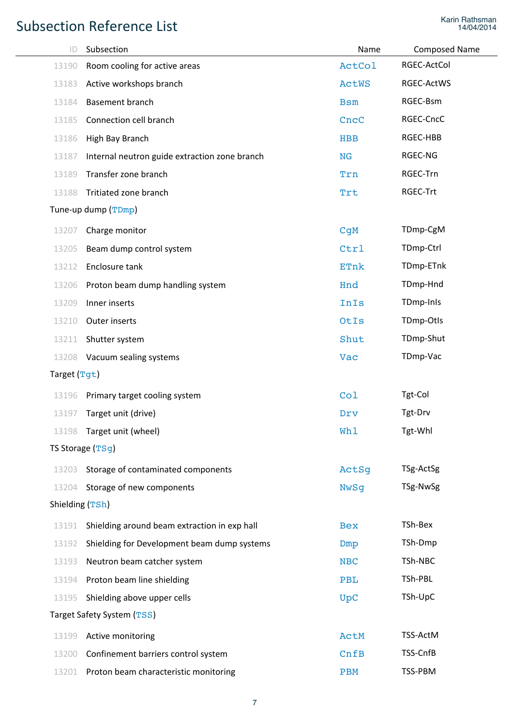| ID              | Subsection                                    | Name            | <b>Composed Name</b> |
|-----------------|-----------------------------------------------|-----------------|----------------------|
| 13190           | Room cooling for active areas                 | <b>ActCol</b>   | RGEC-ActCol          |
| 13183           | Active workshops branch                       | <b>ActWS</b>    | RGEC-ActWS           |
| 13184           | Basement branch                               | <b>Bsm</b>      | RGEC-Bsm             |
| 13185           | Connection cell branch                        | CncC            | RGEC-CncC            |
| 13186           | High Bay Branch                               | <b>HBB</b>      | RGEC-HBB             |
| 13187           | Internal neutron guide extraction zone branch | <b>NG</b>       | RGEC-NG              |
| 13189           | Transfer zone branch                          | Trn             | RGEC-Trn             |
| 13188           | Tritiated zone branch                         | Trt             | RGEC-Trt             |
|                 | Tune-up dump (TDmp)                           |                 |                      |
| 13207           | Charge monitor                                | C <sub>qM</sub> | TDmp-CgM             |
| 13205           | Beam dump control system                      | Ctrl            | TDmp-Ctrl            |
| 13212           | Enclosure tank                                | <b>ETnk</b>     | TDmp-ETnk            |
| 13206           | Proton beam dump handling system              | Hnd             | TDmp-Hnd             |
| 13209           | Inner inserts                                 | InIs            | TDmp-InIs            |
| 13210           | Outer inserts                                 | OtIs            | TDmp-Otls            |
| 13211           | Shutter system                                | Shut            | TDmp-Shut            |
| 13208           | Vacuum sealing systems                        | Vac             | TDmp-Vac             |
| Target (Tgt)    |                                               |                 |                      |
| 13196           | Primary target cooling system                 | Co1             | Tgt-Col              |
| 13197           | Target unit (drive)                           | Drv             | Tgt-Drv              |
|                 | 13198 Target unit (wheel)                     | Wh1             | Tgt-Whl              |
|                 | TS Storage (TSg)                              |                 |                      |
| 13203           | Storage of contaminated components            | ActSq           | TSg-ActSg            |
| 13204           | Storage of new components                     | <b>NwSq</b>     | TSg-NwSg             |
| Shielding (TSh) |                                               |                 |                      |
| 13191           | Shielding around beam extraction in exp hall  | <b>Bex</b>      | TSh-Bex              |
| 13192           | Shielding for Development beam dump systems   | Dmp             | TSh-Dmp              |
| 13193           | Neutron beam catcher system                   | <b>NBC</b>      | TSh-NBC              |
| 13194           | Proton beam line shielding                    | <b>PBL</b>      | TSh-PBL              |
| 13195           | Shielding above upper cells                   | <b>UpC</b>      | TSh-UpC              |
|                 | Target Safety System (TSS)                    |                 |                      |
| 13199           | Active monitoring                             | ActM            | TSS-ActM             |
| 13200           | Confinement barriers control system           | CnFB            | TSS-CnfB             |
| 13201           | Proton beam characteristic monitoring         | <b>PBM</b>      | TSS-PBM              |